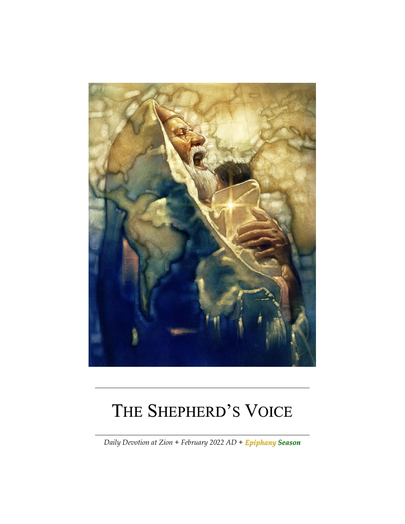

# THE SHEPHERD'S VOICE

Daily Devotion at Zion + February 2022 AD + <mark>Epiphany Season</mark>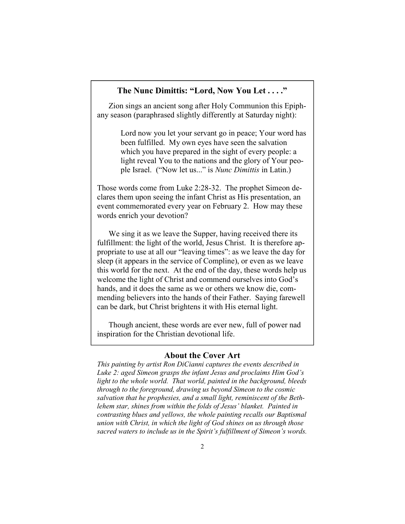## The Nunc Dimittis: "Lord, Now You Let . . . ."

Zion sings an ancient song after Holy Communion this Epiphany season (paraphrased slightly differently at Saturday night):

> Lord now you let your servant go in peace; Your word has been fulfilled. My own eyes have seen the salvation which you have prepared in the sight of every people: a light reveal You to the nations and the glory of Your people Israel. ("Now let us..." is Nunc Dimittis in Latin.)

Those words come from Luke 2:28-32. The prophet Simeon declares them upon seeing the infant Christ as His presentation, an event commemorated every year on February 2. How may these words enrich your devotion?

We sing it as we leave the Supper, having received there its fulfillment: the light of the world, Jesus Christ. It is therefore appropriate to use at all our "leaving times": as we leave the day for sleep (it appears in the service of Compline), or even as we leave this world for the next. At the end of the day, these words help us welcome the light of Christ and commend ourselves into God's hands, and it does the same as we or others we know die, commending believers into the hands of their Father. Saying farewell can be dark, but Christ brightens it with His eternal light.

Though ancient, these words are ever new, full of power nad inspiration for the Christian devotional life.

#### About the Cover Art

This painting by artist Ron DiCianni captures the events described in Luke 2: aged Simeon grasps the infant Jesus and proclaims Him God's light to the whole world. That world, painted in the background, bleeds through to the foreground, drawing us beyond Simeon to the cosmic salvation that he prophesies, and a small light, reminiscent of the Bethlehem star, shines from within the folds of Jesus' blanket. Painted in contrasting blues and yellows, the whole painting recalls our Baptismal union with Christ, in which the light of God shines on us through those sacred waters to include us in the Spirit's fulfillment of Simeon's words.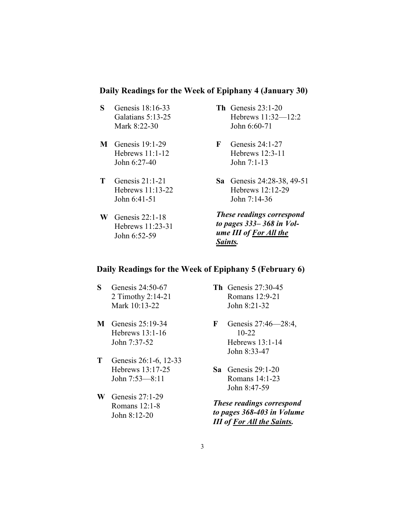### Daily Readings for the Week of Epiphany 4 (January 30)

- S Genesis 18:16-33 Galatians 5:13-25 Mark 8:22-30
- M Genesis 19:1-29 Hebrews 11:1-12 John 6:27-40
- T Genesis 21:1-21 Hebrews 11:13-22 John 6:41-51
- W Genesis 22:1-18 Hebrews 11:23-31 John 6:52-59
- Th Genesis 23:1-20 Hebrews 11:32—12:2 John 6:60-71
- F Genesis 24:1-27 Hebrews 12:3-11 John 7:1-13
- Sa Genesis 24:28-38, 49-51 Hebrews 12:12-29 John 7:14-36

These readings correspond to pages 333– 368 in Volume III of For All the Saints.

## Daily Readings for the Week of Epiphany 5 (February 6)

- S Genesis 24:50-67 2 Timothy 2:14-21 Mark 10:13-22
- M Genesis 25:19-34 Hebrews 13:1-16 John 7:37-52
- T Genesis 26:1-6, 12-33 Hebrews 13:17-25 John 7:53—8:11
- W Genesis 27:1-29 Romans 12:1-8 John 8:12-20
- Th Genesis 27:30-45 Romans 12:9-21 John 8:21-32
- F Genesis 27:46—28:4, 10-22 Hebrews 13:1-14 John 8:33-47
- Sa Genesis 29:1-20 Romans 14:1-23 John 8:47-59

These readings correspond to pages 368-403 in Volume III of For All the Saints.